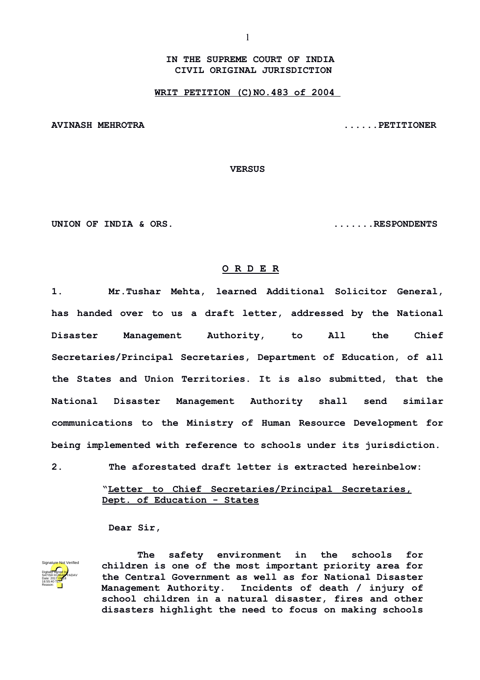**IN THE SUPREME COURT OF INDIA CIVIL ORIGINAL JURISDICTION**

**WRIT PETITION (C)NO.483 of 2004** 

**AVINASH MEHROTRA ......PETITIONER**

**VERSUS**

**UNION OF INDIA & ORS. .......RESPONDENTS**

## **O R D E R**

**1. Mr.Tushar Mehta, learned Additional Solicitor General, has handed over to us a draft letter, addressed by the National Disaster Management Authority, to All the Chief Secretaries/Principal Secretaries, Department of Education, of all the States and Union Territories. It is also submitted, that the National Disaster Management Authority shall send similar communications to the Ministry of Human Resource Development for being implemented with reference to schools under its jurisdiction.**

**2. The aforestated draft letter is extracted hereinbelow:**

**"Letter to Chief Secretaries/Principal Secretaries, Dept. of Education - States**

**Dear Sir,**



**The safety environment in the schools for children is one of the most important priority area for the Central Government as well as for National Disaster Management Authority. Incidents of death / injury of school children in a natural disaster, fires and other disasters highlight the need to focus on making schools**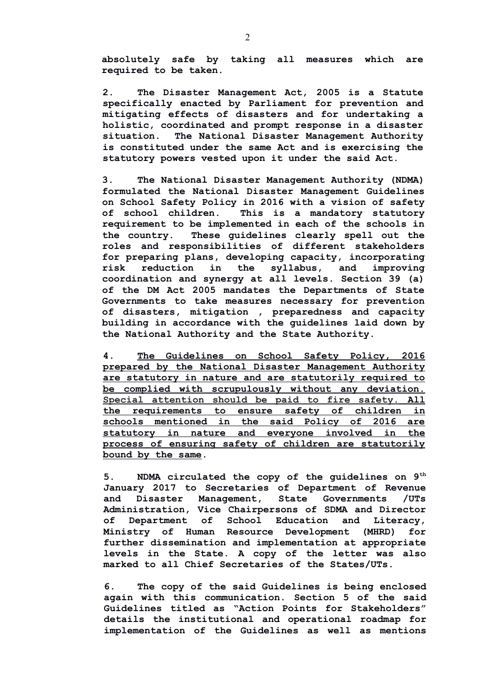**absolutely safe by taking all measures which are required to be taken.**

**2. The Disaster Management Act, 2005 is a Statute specifically enacted by Parliament for prevention and mitigating effects of disasters and for undertaking a holistic, coordinated and prompt response in a disaster situation. The National Disaster Management Authority is constituted under the same Act and is exercising the statutory powers vested upon it under the said Act.**

**3. The National Disaster Management Authority (NDMA) formulated the National Disaster Management Guidelines on School Safety Policy in 2016 with a vision of safety of school children. This is a mandatory statutory requirement to be implemented in each of the schools in the country. These guidelines clearly spell out the roles and responsibilities of different stakeholders for preparing plans, developing capacity, incorporating risk reduction in the syllabus, and improving coordination and synergy at all levels. Section 39 (a) of the DM Act 2005 mandates the Departments of State Governments to take measures necessary for prevention of disasters, mitigation , preparedness and capacity building in accordance with the guidelines laid down by the National Authority and the State Authority.**

**4. The Guidelines on School Safety Policy, 2016 prepared by the National Disaster Management Authority are statutory in nature and are statutorily required to be complied with scrupulously without any deviation. Special attention should be paid to fire safety. All the requirements to ensure safety of children in schools mentioned in the said Policy of 2016 are statutory in nature and everyone involved in the process of ensuring safety of children are statutorily bound by the same.**

**5. NDMA circulated the copy of the guidelines on 9th January 2017 to Secretaries of Department of Revenue and Disaster Management, State Governments /UTs Administration, Vice Chairpersons of SDMA and Director of Department of School Education and Literacy, Ministry of Human Resource Development (MHRD) for further dissemination and implementation at appropriate levels in the State. A copy of the letter was also marked to all Chief Secretaries of the States/UTs.**

**6. The copy of the said Guidelines is being enclosed again with this communication. Section 5 of the said Guidelines titled as "Action Points for Stakeholders" details the institutional and operational roadmap for implementation of the Guidelines as well as mentions**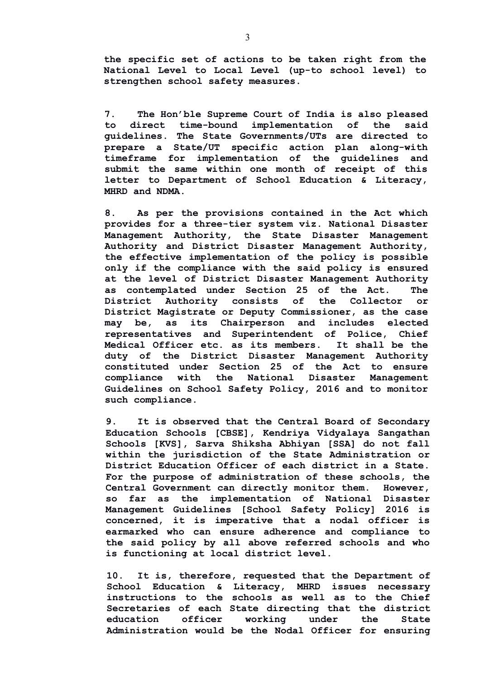**the specific set of actions to be taken right from the National Level to Local Level (up-to school level) to strengthen school safety measures.**

**7. The Hon'ble Supreme Court of India is also pleased to direct time-bound implementation of the said guidelines. The State Governments/UTs are directed to prepare a State/UT specific action plan along-with timeframe for implementation of the guidelines and submit the same within one month of receipt of this letter to Department of School Education & Literacy, MHRD and NDMA.**

**8. As per the provisions contained in the Act which provides for a three-tier system viz. National Disaster Management Authority, the State Disaster Management Authority and District Disaster Management Authority, the effective implementation of the policy is possible only if the compliance with the said policy is ensured at the level of District Disaster Management Authority as contemplated under Section 25 of the Act. The District Authority consists of the Collector or District Magistrate or Deputy Commissioner, as the case may be, as its Chairperson and includes elected representatives and Superintendent of Police, Chief Medical Officer etc. as its members. It shall be the duty of the District Disaster Management Authority constituted under Section 25 of the Act to ensure compliance with the National Disaster Management Guidelines on School Safety Policy, 2016 and to monitor such compliance.**

**9. It is observed that the Central Board of Secondary Education Schools [CBSE], Kendriya Vidyalaya Sangathan Schools [KVS], Sarva Shiksha Abhiyan [SSA] do not fall within the jurisdiction of the State Administration or District Education Officer of each district in a State. For the purpose of administration of these schools, the Central Government can directly monitor them. However, so far as the implementation of National Disaster Management Guidelines [School Safety Policy] 2016 is concerned, it is imperative that a nodal officer is earmarked who can ensure adherence and compliance to the said policy by all above referred schools and who is functioning at local district level.**

**10. It is, therefore, requested that the Department of School Education & Literacy, MHRD issues necessary instructions to the schools as well as to the Chief Secretaries of each State directing that the district education officer working under the State Administration would be the Nodal Officer for ensuring**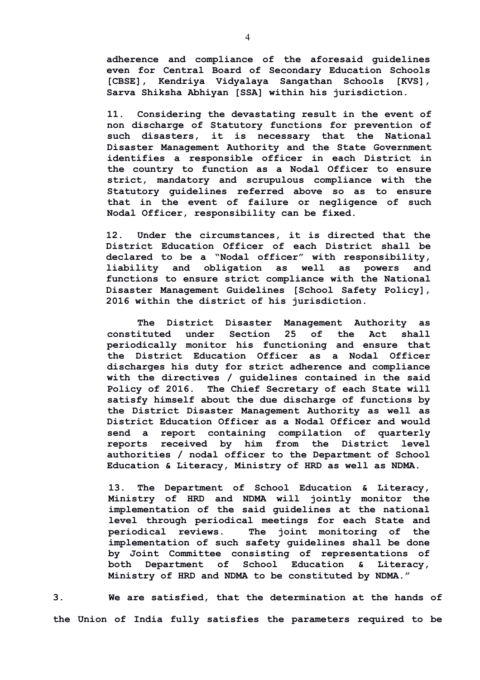**adherence and compliance of the aforesaid guidelines even for Central Board of Secondary Education Schools [CBSE], Kendriya Vidyalaya Sangathan Schools [KVS], Sarva Shiksha Abhiyan [SSA] within his jurisdiction.**

**11. Considering the devastating result in the event of non discharge of Statutory functions for prevention of such disasters, it is necessary that the National Disaster Management Authority and the State Government identifies a responsible officer in each District in the country to function as a Nodal Officer to ensure strict, mandatory and scrupulous compliance with the Statutory guidelines referred above so as to ensure that in the event of failure or negligence of such Nodal Officer, responsibility can be fixed.** 

**12. Under the circumstances, it is directed that the District Education Officer of each District shall be declared to be a "Nodal officer" with responsibility, liability and obligation as well as powers and functions to ensure strict compliance with the National Disaster Management Guidelines [School Safety Policy], 2016 within the district of his jurisdiction.** 

**The District Disaster Management Authority as constituted under Section 25 of the Act shall periodically monitor his functioning and ensure that the District Education Officer as a Nodal Officer discharges his duty for strict adherence and compliance with the directives / guidelines contained in the said Policy of 2016. The Chief Secretary of each State will satisfy himself about the due discharge of functions by the District Disaster Management Authority as well as District Education Officer as a Nodal Officer and would send a report containing compilation of quarterly reports received by him from the District level authorities / nodal officer to the Department of School Education & Literacy, Ministry of HRD as well as NDMA.**

**13. The Department of School Education & Literacy, Ministry of HRD and NDMA will jointly monitor the implementation of the said guidelines at the national level through periodical meetings for each State and periodical reviews. The joint monitoring of the implementation of such safety guidelines shall be done by Joint Committee consisting of representations of both Department of School Education & Literacy, Ministry of HRD and NDMA to be constituted by NDMA."**

**3. We are satisfied, that the determination at the hands of the Union of India fully satisfies the parameters required to be**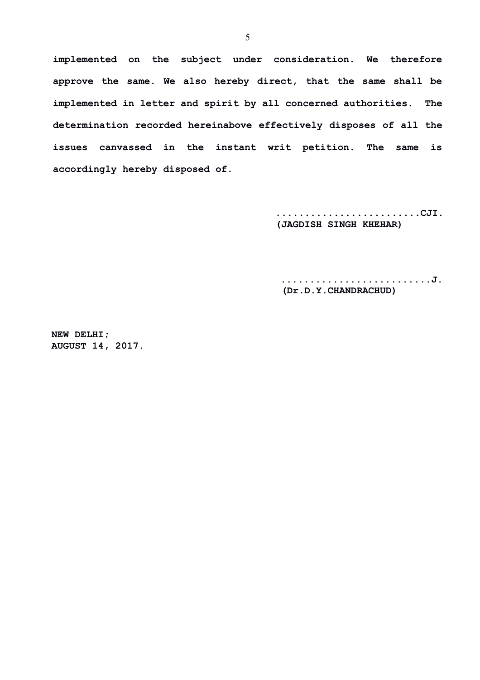**implemented on the subject under consideration. We therefore approve the same. We also hereby direct, that the same shall be implemented in letter and spirit by all concerned authorities. The determination recorded hereinabove effectively disposes of all the issues canvassed in the instant writ petition. The same is accordingly hereby disposed of.**

> **.........................CJI. (JAGDISH SINGH KHEHAR)**

 **..........................J. (Dr.D.Y.CHANDRACHUD)**

**NEW DELHI; AUGUST 14, 2017.**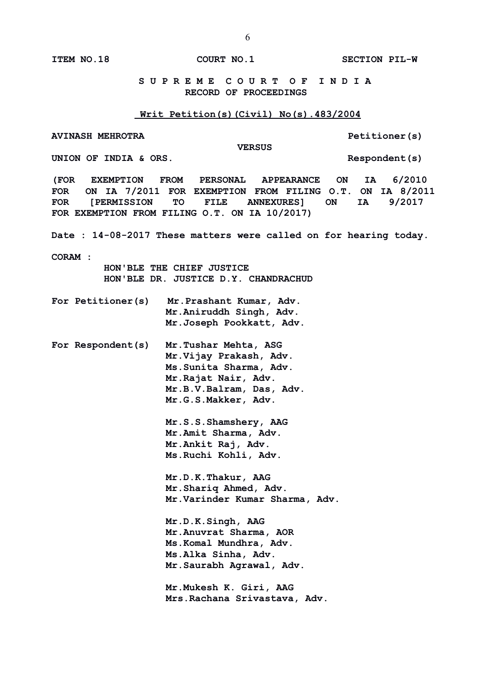**ITEM NO.18 COURT NO.1 SECTION PIL-W**

## **S U P R E M E C O U R T O F I N D I A RECORD OF PROCEEDINGS**

## **Writ Petition(s)(Civil) No(s).483/2004**

**AVINASH MEHROTRA Petitioner(s)**

 **VERSUS**

UNION OF INDIA & ORS.

**(FOR EXEMPTION FROM PERSONAL APPEARANCE ON IA 6/2010 FOR ON IA 7/2011 FOR EXEMPTION FROM FILING O.T. ON IA 8/2011 FOR [PERMISSION TO FILE ANNEXURES] ON IA 9/2017 FOR EXEMPTION FROM FILING O.T. ON IA 10/2017)**

**Date : 14-08-2017 These matters were called on for hearing today.**

**CORAM :** 

 **HON'BLE THE CHIEF JUSTICE HON'BLE DR. JUSTICE D.Y. CHANDRACHUD**

- **For Petitioner(s) Mr.Prashant Kumar, Adv. Mr.Aniruddh Singh, Adv. Mr.Joseph Pookkatt, Adv.**
- **For Respondent(s) Mr.Tushar Mehta, ASG Mr.Vijay Prakash, Adv. Ms.Sunita Sharma, Adv. Mr.Rajat Nair, Adv. Mr.B.V.Balram, Das, Adv. Mr.G.S.Makker, Adv.**

**Mr.S.S.Shamshery, AAG Mr.Amit Sharma, Adv. Mr.Ankit Raj, Adv. Ms.Ruchi Kohli, Adv.**

**Mr.D.K.Thakur, AAG Mr.Shariq Ahmed, Adv. Mr.Varinder Kumar Sharma, Adv.**

**Mr.D.K.Singh, AAG Mr.Anuvrat Sharma, AOR Ms.Komal Mundhra, Adv. Ms.Alka Sinha, Adv. Mr.Saurabh Agrawal, Adv.**

**Mr.Mukesh K. Giri, AAG Mrs.Rachana Srivastava, Adv.**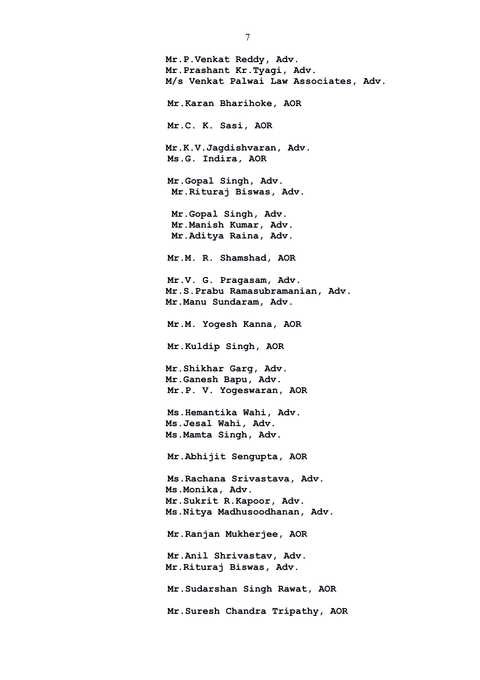**Mr.P.Venkat Reddy, Adv. Mr.Prashant Kr.Tyagi, Adv. M/s Venkat Palwai Law Associates, Adv. Mr.Karan Bharihoke, AOR Mr.C. K. Sasi, AOR Mr.K.V.Jagdishvaran, Adv. Ms.G. Indira, AOR Mr.Gopal Singh, Adv. Mr.Rituraj Biswas, Adv. Mr.Gopal Singh, Adv. Mr.Manish Kumar, Adv. Mr.Aditya Raina, Adv. Mr.M. R. Shamshad, AOR Mr.V. G. Pragasam, Adv. Mr.S.Prabu Ramasubramanian, Adv. Mr.Manu Sundaram, Adv. Mr.M. Yogesh Kanna, AOR Mr.Kuldip Singh, AOR Mr.Shikhar Garg, Adv. Mr.Ganesh Bapu, Adv. Mr.P. V. Yogeswaran, AOR Ms.Hemantika Wahi, Adv. Ms.Jesal Wahi, Adv. Ms.Mamta Singh, Adv. Mr.Abhijit Sengupta, AOR Ms.Rachana Srivastava, Adv. Ms.Monika, Adv. Mr.Sukrit R.Kapoor, Adv. Ms.Nitya Madhusoodhanan, Adv. Mr.Ranjan Mukherjee, AOR Mr.Anil Shrivastav, Adv. Mr.Rituraj Biswas, Adv. Mr.Sudarshan Singh Rawat, AOR Mr.Suresh Chandra Tripathy, AOR**

7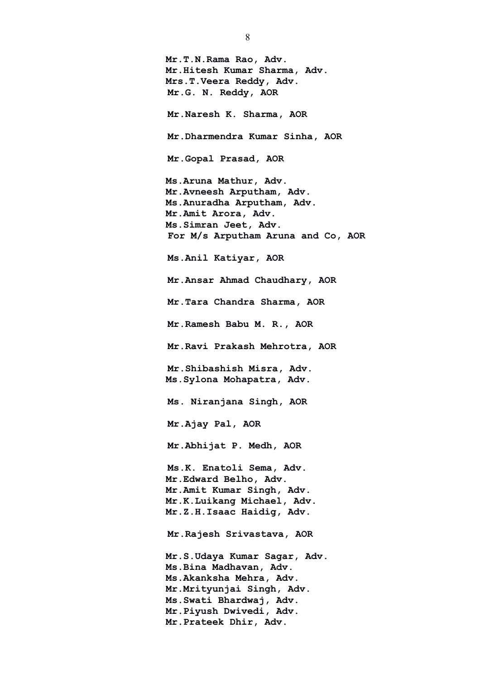**Mr.T.N.Rama Rao, Adv. Mr.Hitesh Kumar Sharma, Adv. Mrs.T.Veera Reddy, Adv. Mr.G. N. Reddy, AOR Mr.Naresh K. Sharma, AOR Mr.Dharmendra Kumar Sinha, AOR Mr.Gopal Prasad, AOR Ms.Aruna Mathur, Adv. Mr.Avneesh Arputham, Adv. Ms.Anuradha Arputham, Adv. Mr.Amit Arora, Adv. Ms.Simran Jeet, Adv. For M/s Arputham Aruna and Co, AOR Ms.Anil Katiyar, AOR Mr.Ansar Ahmad Chaudhary, AOR Mr.Tara Chandra Sharma, AOR Mr.Ramesh Babu M. R., AOR Mr.Ravi Prakash Mehrotra, AOR Mr.Shibashish Misra, Adv. Ms.Sylona Mohapatra, Adv. Ms. Niranjana Singh, AOR Mr.Ajay Pal, AOR Mr.Abhijat P. Medh, AOR Ms.K. Enatoli Sema, Adv. Mr.Edward Belho, Adv. Mr.Amit Kumar Singh, Adv. Mr.K.Luikang Michael, Adv. Mr.Z.H.Isaac Haidig, Adv. Mr.Rajesh Srivastava, AOR Mr.S.Udaya Kumar Sagar, Adv. Ms.Bina Madhavan, Adv. Ms.Akanksha Mehra, Adv. Mr.Mrityunjai Singh, Adv. Ms.Swati Bhardwaj, Adv. Mr.Piyush Dwivedi, Adv. Mr.Prateek Dhir, Adv.**